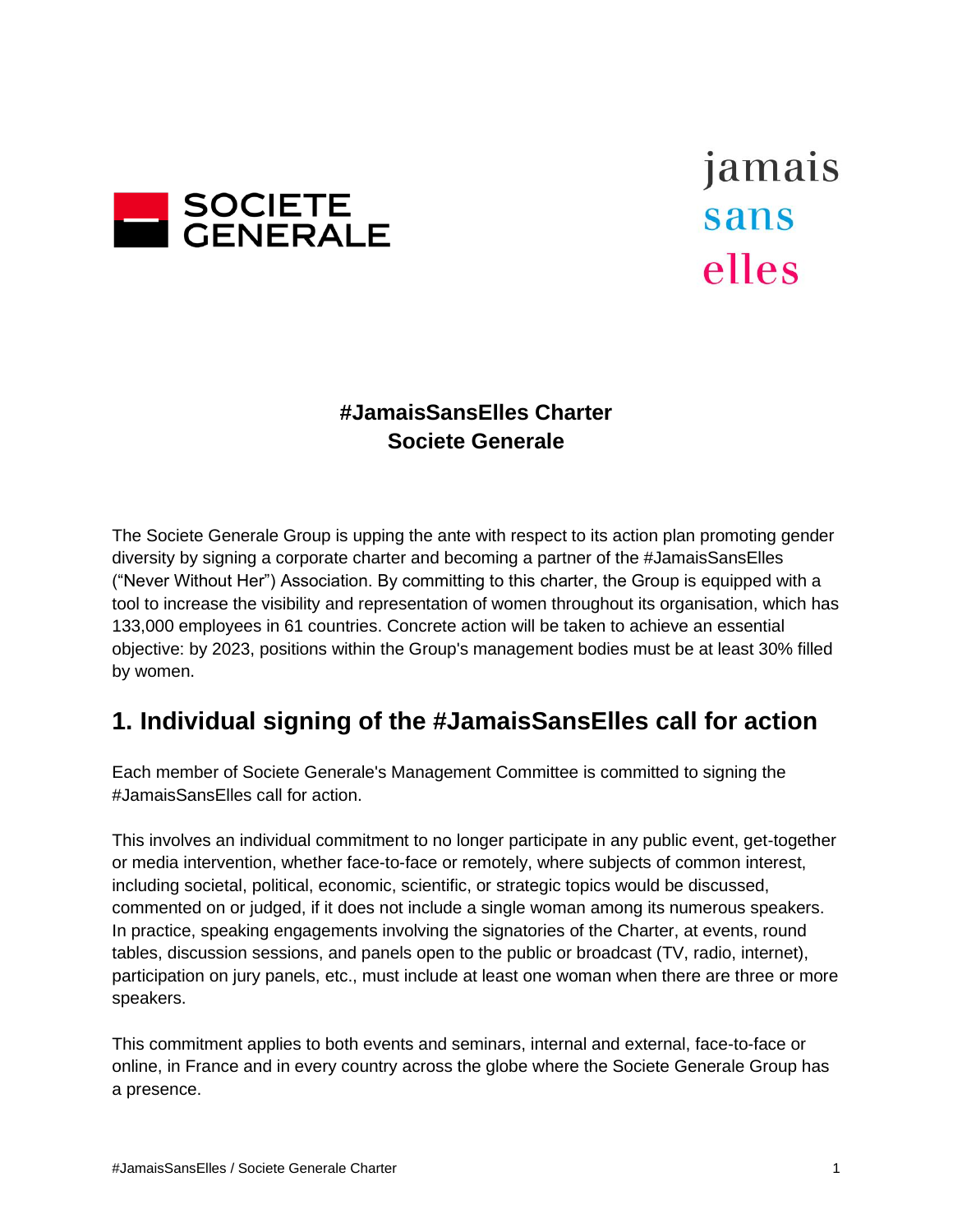

jamais sans elles

### **#JamaisSansElles Charter Societe Generale**

The Societe Generale Group is upping the ante with respect to its action plan promoting gender diversity by signing a corporate charter and becoming a partner of the #JamaisSansElles ("Never Without Her") Association. By committing to this charter, the Group is equipped with a tool to increase the visibility and representation of women throughout its organisation, which has 133,000 employees in 61 countries. Concrete action will be taken to achieve an essential objective: by 2023, positions within the Group's management bodies must be at least 30% filled by women.

## **1. Individual signing of the #JamaisSansElles call for action**

Each member of Societe Generale's Management Committee is committed to signing the #JamaisSansElles call for action.

This involves an individual commitment to no longer participate in any public event, get-together or media intervention, whether face-to-face or remotely, where subjects of common interest, including societal, political, economic, scientific, or strategic topics would be discussed, commented on or judged, if it does not include a single woman among its numerous speakers. In practice, speaking engagements involving the signatories of the Charter, at events, round tables, discussion sessions, and panels open to the public or broadcast (TV, radio, internet), participation on jury panels, etc., must include at least one woman when there are three or more speakers.

This commitment applies to both events and seminars, internal and external, face-to-face or online, in France and in every country across the globe where the Societe Generale Group has a presence.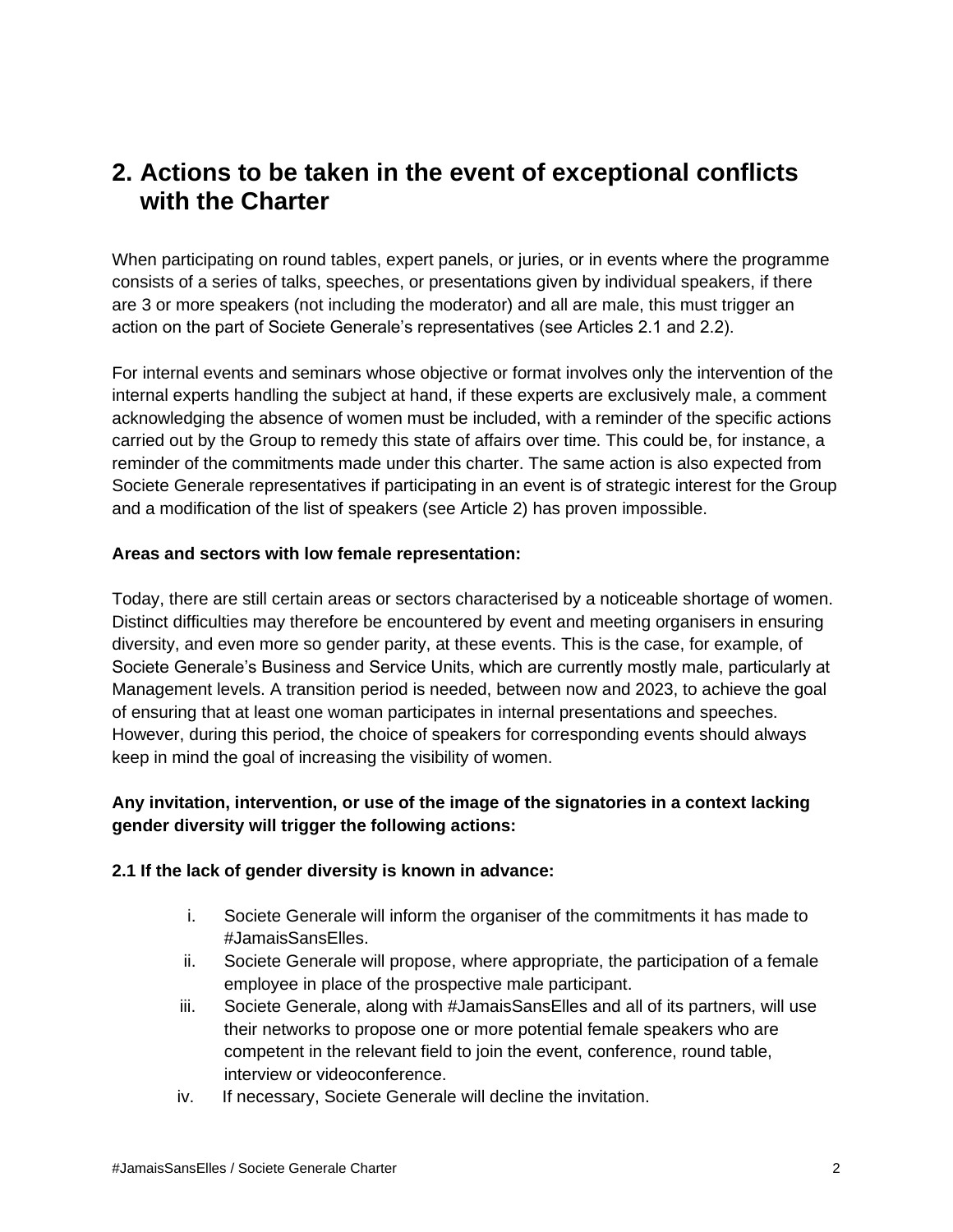## **2. Actions to be taken in the event of exceptional conflicts with the Charter**

When participating on round tables, expert panels, or juries, or in events where the programme consists of a series of talks, speeches, or presentations given by individual speakers, if there are 3 or more speakers (not including the moderator) and all are male, this must trigger an action on the part of Societe Generale's representatives (see Articles 2.1 and 2.2).

For internal events and seminars whose objective or format involves only the intervention of the internal experts handling the subject at hand, if these experts are exclusively male, a comment acknowledging the absence of women must be included, with a reminder of the specific actions carried out by the Group to remedy this state of affairs over time. This could be, for instance, a reminder of the commitments made under this charter. The same action is also expected from Societe Generale representatives if participating in an event is of strategic interest for the Group and a modification of the list of speakers (see Article 2) has proven impossible.

#### **Areas and sectors with low female representation:**

Today, there are still certain areas or sectors characterised by a noticeable shortage of women. Distinct difficulties may therefore be encountered by event and meeting organisers in ensuring diversity, and even more so gender parity, at these events. This is the case, for example, of Societe Generale's Business and Service Units, which are currently mostly male, particularly at Management levels. A transition period is needed, between now and 2023, to achieve the goal of ensuring that at least one woman participates in internal presentations and speeches. However, during this period, the choice of speakers for corresponding events should always keep in mind the goal of increasing the visibility of women.

### **Any invitation, intervention, or use of the image of the signatories in a context lacking gender diversity will trigger the following actions:**

#### **2.1 If the lack of gender diversity is known in advance:**

- i. Societe Generale will inform the organiser of the commitments it has made to #JamaisSansElles.
- ii. Societe Generale will propose, where appropriate, the participation of a female employee in place of the prospective male participant.
- iii. Societe Generale, along with #JamaisSansElles and all of its partners, will use their networks to propose one or more potential female speakers who are competent in the relevant field to join the event, conference, round table, interview or videoconference.
- iv. If necessary, Societe Generale will decline the invitation.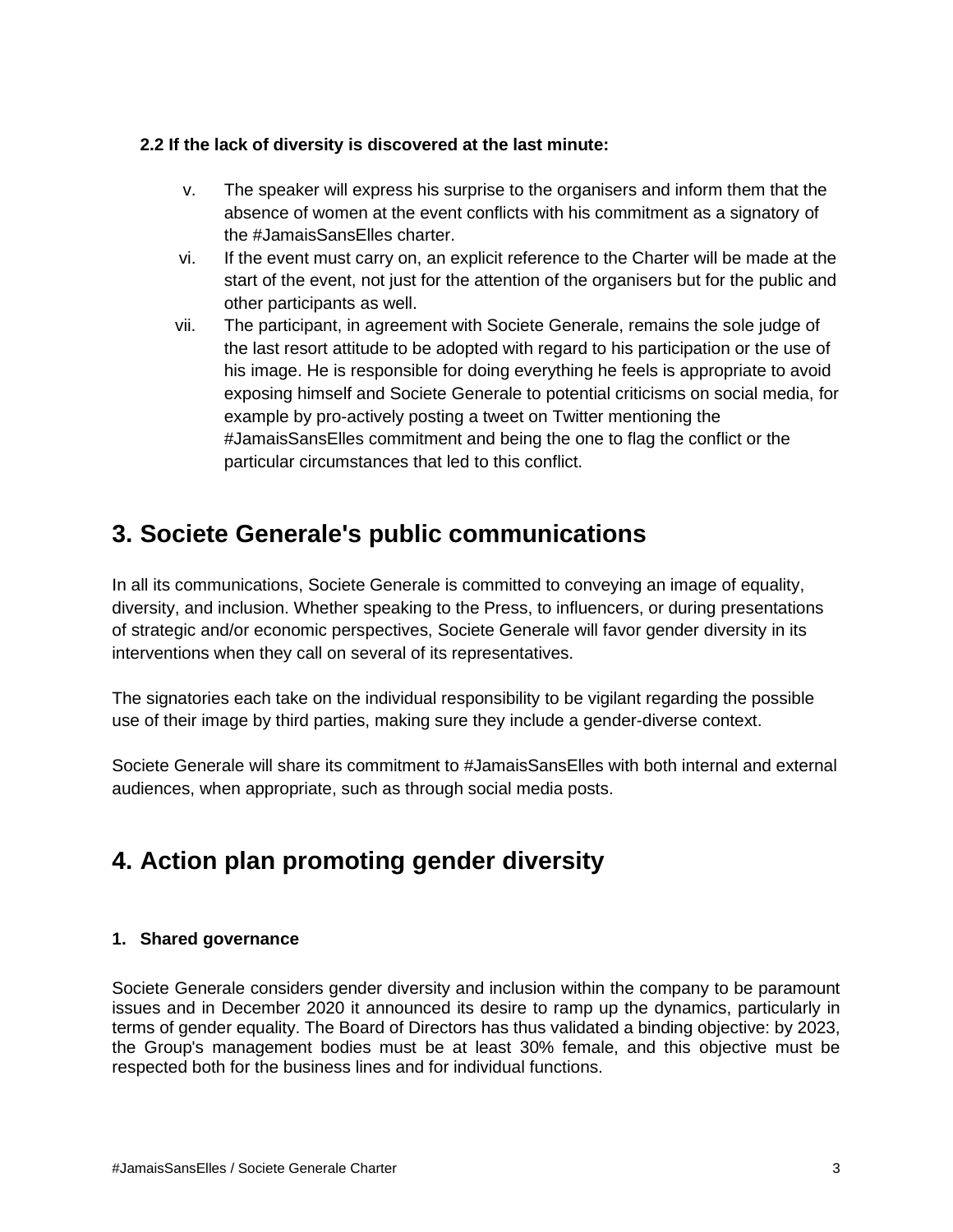### **2.2 If the lack of diversity is discovered at the last minute:**

- v. The speaker will express his surprise to the organisers and inform them that the absence of women at the event conflicts with his commitment as a signatory of the #JamaisSansElles charter.
- vi. If the event must carry on, an explicit reference to the Charter will be made at the start of the event, not just for the attention of the organisers but for the public and other participants as well.
- vii. The participant, in agreement with Societe Generale, remains the sole judge of the last resort attitude to be adopted with regard to his participation or the use of his image. He is responsible for doing everything he feels is appropriate to avoid exposing himself and Societe Generale to potential criticisms on social media, for example by pro-actively posting a tweet on Twitter mentioning the #JamaisSansElles commitment and being the one to flag the conflict or the particular circumstances that led to this conflict.

# **3. Societe Generale's public communications**

In all its communications, Societe Generale is committed to conveying an image of equality, diversity, and inclusion. Whether speaking to the Press, to influencers, or during presentations of strategic and/or economic perspectives, Societe Generale will favor gender diversity in its interventions when they call on several of its representatives.

The signatories each take on the individual responsibility to be vigilant regarding the possible use of their image by third parties, making sure they include a gender-diverse context.

Societe Generale will share its commitment to #JamaisSansElles with both internal and external audiences, when appropriate, such as through social media posts.

# **4. Action plan promoting gender diversity**

### **1. Shared governance**

Societe Generale considers gender diversity and inclusion within the company to be paramount issues and in December 2020 it announced its desire to ramp up the dynamics, particularly in terms of gender equality. The Board of Directors has thus validated a binding objective: by 2023, the Group's management bodies must be at least 30% female, and this objective must be respected both for the business lines and for individual functions.